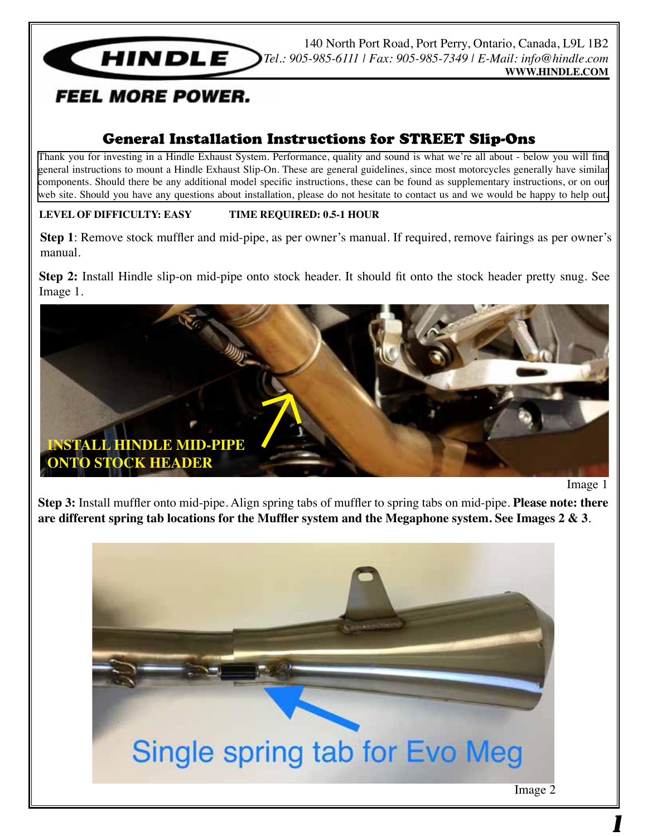

140 North Port Road, Port Perry, Ontario, Canada, L9L 1B2 *Tel.: 905-985-6111 | Fax: 905-985-7349 | E-Mail: info@hindle.com* **WWW.HINDLE.COM**

# *FEEL MORE POWER.*

## General Installation Instructions for STREET Slip-Ons

Thank you for investing in a Hindle Exhaust System. Performance, quality and sound is what we're all about - below you will find general instructions to mount a Hindle Exhaust Slip-On. These are general guidelines, since most motorcycles generally have similar components. Should there be any additional model specific instructions, these can be found as supplementary instructions, or on our web site. Should you have any questions about installation, please do not hesitate to contact us and we would be happy to help out.

### **LEVEL OF DIFFICULTY: EASY TIME REQUIRED: 0.5-1 HOUR**

**Step 1**: Remove stock muffler and mid-pipe, as per owner's manual. If required, remove fairings as per owner's manual.

**Step 2:** Install Hindle slip-on mid-pipe onto stock header. It should fit onto the stock header pretty snug. See Image 1.



Image 1

**Step 3:** Install muffler onto mid-pipe. Align spring tabs of muffler to spring tabs on mid-pipe. **Please note: there are different spring tab locations for the Muffler system and the Megaphone system. See Images 2 & 3**.

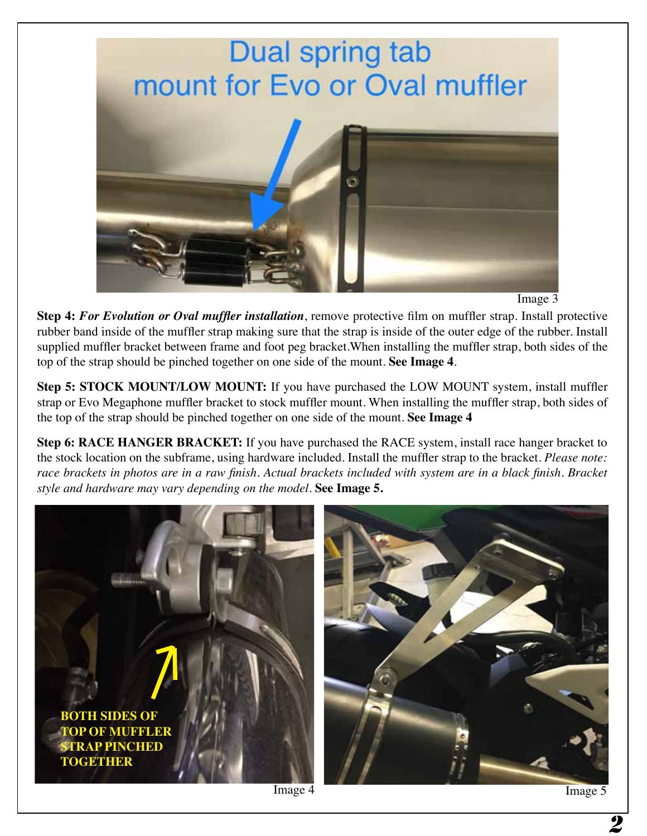

Image 3

**Step 4:** *For Evolution or Oval muffler installation*, remove protective film on muffler strap. Install protective rubber band inside of the muffler strap making sure that the strap is inside of the outer edge of the rubber. Install supplied muffler bracket between frame and foot peg bracket.When installing the muffler strap, both sides of the top of the strap should be pinched together on one side of the mount. **See Image 4**.

**Step 5: STOCK MOUNT/LOW MOUNT:** If you have purchased the LOW MOUNT system, install muffler strap or Evo Megaphone muffler bracket to stock muffler mount. When installing the muffler strap, both sides of the top of the strap should be pinched together on one side of the mount. **See Image 4**

**Step 6: RACE HANGER BRACKET:** If you have purchased the RACE system, install race hanger bracket to the stock location on the subframe, using hardware included. Install the muffler strap to the bracket. *Please note:*  race brackets in photos are in a raw finish. Actual brackets included with system are in a black finish. Bracket *style and hardware may vary depending on the model.* **See Image 5.**



2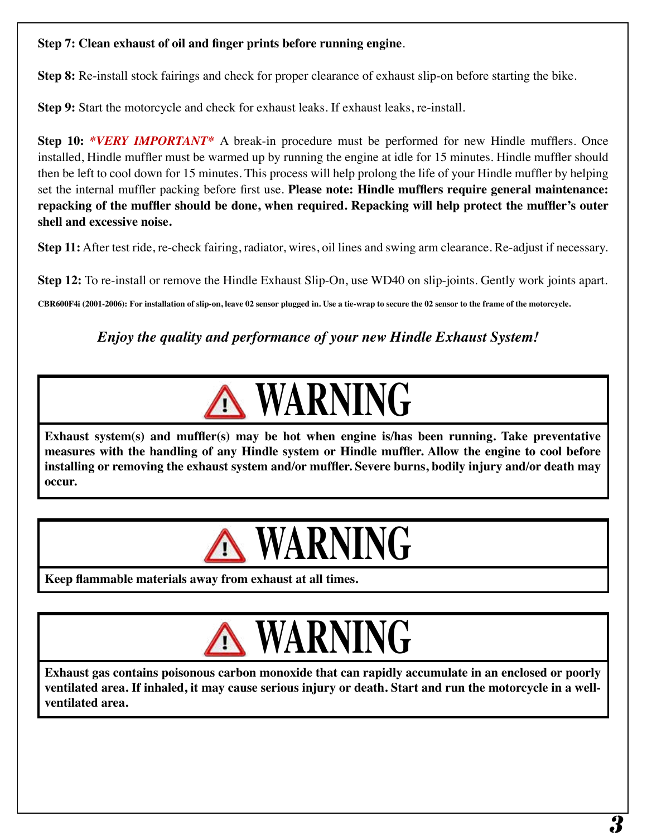### **Step 7: Clean exhaust of oil and finger prints before running engine**.

**Step 8:** Re-install stock fairings and check for proper clearance of exhaust slip-on before starting the bike.

**Step 9:** Start the motorcycle and check for exhaust leaks. If exhaust leaks, re-install.

**Step 10:** *\*VERY IMPORTANT\** A break-in procedure must be performed for new Hindle mufflers. Once installed, Hindle muffler must be warmed up by running the engine at idle for 15 minutes. Hindle muffler should then be left to cool down for 15 minutes. This process will help prolong the life of your Hindle muffler by helping set the internal muffler packing before first use. **Please note: Hindle mufflers require general maintenance: repacking of the muffler should be done, when required. Repacking will help protect the muffler's outer shell and excessive noise.** 

**Step 11:** After test ride, re-check fairing, radiator, wires, oil lines and swing arm clearance. Re-adjust if necessary.

**Step 12:** To re-install or remove the Hindle Exhaust Slip-On, use WD40 on slip-joints. Gently work joints apart.

**CBR600F4i (2001-2006): For installation of slip-on, leave 02 sensor plugged in. Use a tie-wrap to secure the 02 sensor to the frame of the motorcycle.**

*Enjoy the quality and performance of your new Hindle Exhaust System!*



**Exhaust system(s) and muffler(s) may be hot when engine is/has been running. Take preventative measures with the handling of any Hindle system or Hindle muffler. Allow the engine to cool before installing or removing the exhaust system and/or muffler. Severe burns, bodily injury and/or death may occur.** 



**Keep flammable materials away from exhaust at all times.** 



**Exhaust gas contains poisonous carbon monoxide that can rapidly accumulate in an enclosed or poorly ventilated area. If inhaled, it may cause serious injury or death. Start and run the motorcycle in a wellventilated area.**